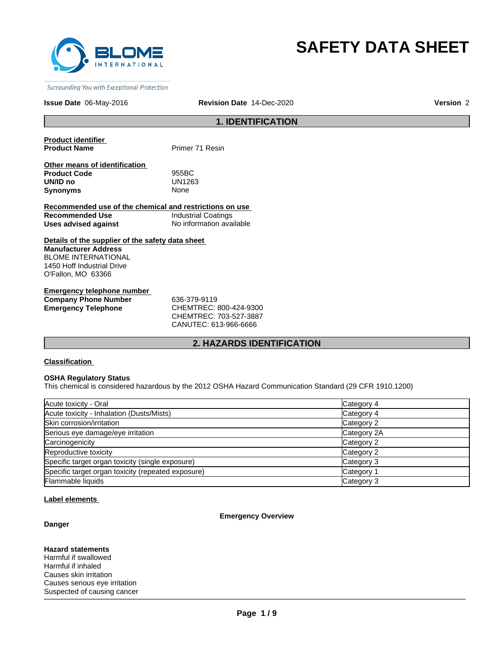

# **SAFETY DATA SHEET**

Surrounding You with Exceptional Protection

#### **Issue Date** 06-May-2016

**Revision Date** 14-Dec-2020 **Version** 2

# **1. IDENTIFICATION**

**Product identifier Product Name** Primer 71 Resin

| Other means of identification |             |  |
|-------------------------------|-------------|--|
| <b>Product Code</b>           | 955BC       |  |
| UN/ID no                      | UN1263      |  |
| Synonyms                      | <b>None</b> |  |

**Recommended use of the chemical and restrictions on use Recommended Use Industrial Coatings**<br> **Uses advised against Internation** No information available **Uses advised against** 

**Details of the supplier of the safety data sheet Manufacturer Address** BLOME INTERNATIONAL 1450 Hoff Industrial Drive O'Fallon, MO 63366

**Emergency telephone number Company Phone Number** 636-379-9119 **Emergency Telephone** CHEMTREC: 800-424-9300

CHEMTREC: 703-527-3887 CANUTEC: 613-966-6666

# **2. HAZARDS IDENTIFICATION**

#### **Classification**

#### **OSHA Regulatory Status**

This chemical is considered hazardous by the 2012 OSHA Hazard Communication Standard (29 CFR 1910.1200)

| Acute toxicity - Oral                              | Category 4  |
|----------------------------------------------------|-------------|
| Acute toxicity - Inhalation (Dusts/Mists)          | Category 4  |
| Skin corrosion/irritation                          | Category 2  |
| Serious eye damage/eye irritation                  | Category 2A |
| Carcinogenicity                                    | Category 2  |
| Reproductive toxicity                              | Category 2  |
| Specific target organ toxicity (single exposure)   | Category 3  |
| Specific target organ toxicity (repeated exposure) | Category 1  |
| Flammable liquids                                  | Category 3  |

#### **Label elements**

#### **Emergency Overview**

**Danger**

 $\blacksquare$ **Hazard statements** Harmful if swallowed Harmful if inhaled Causes skin irritation Causes serious eye irritation Suspected of causing cancer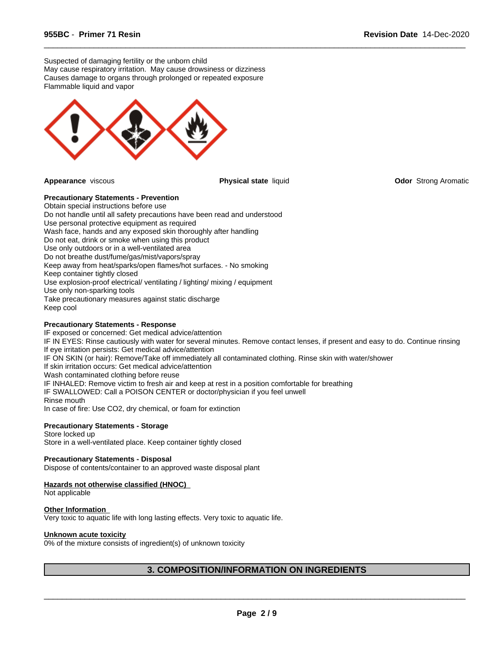Suspected of damaging fertility or the unborn child May cause respiratory irritation. May cause drowsiness or dizziness Causes damage to organs through prolonged or repeated exposure Flammable liquid and vapor



**Appearance** viscous **Physical state** liquid **Odor** Strong Aromatic

 $\overline{\phantom{a}}$  ,  $\overline{\phantom{a}}$  ,  $\overline{\phantom{a}}$  ,  $\overline{\phantom{a}}$  ,  $\overline{\phantom{a}}$  ,  $\overline{\phantom{a}}$  ,  $\overline{\phantom{a}}$  ,  $\overline{\phantom{a}}$  ,  $\overline{\phantom{a}}$  ,  $\overline{\phantom{a}}$  ,  $\overline{\phantom{a}}$  ,  $\overline{\phantom{a}}$  ,  $\overline{\phantom{a}}$  ,  $\overline{\phantom{a}}$  ,  $\overline{\phantom{a}}$  ,  $\overline{\phantom{a}}$ 

#### **Precautionary Statements - Prevention**

Obtain special instructions before use Do not handle until all safety precautions have been read and understood Use personal protective equipment as required Wash face, hands and any exposed skin thoroughly after handling Do not eat, drink or smoke when using this product Use only outdoors or in a well-ventilated area Do not breathe dust/fume/gas/mist/vapors/spray Keep away from heat/sparks/open flames/hot surfaces. - No smoking Keep container tightly closed Use explosion-proof electrical/ ventilating / lighting/ mixing / equipment Use only non-sparking tools Take precautionary measures against static discharge Keep cool

#### **Precautionary Statements - Response**

IF exposed or concerned: Get medical advice/attention IF IN EYES: Rinse cautiously with water for several minutes. Remove contact lenses, if present and easy to do. Continue rinsing If eye irritation persists: Get medical advice/attention IF ON SKIN (or hair): Remove/Take off immediately all contaminated clothing. Rinse skin with water/shower If skin irritation occurs: Get medical advice/attention Wash contaminated clothing before reuse IF INHALED: Remove victim to fresh air and keep at rest in a position comfortable for breathing IF SWALLOWED: Call a POISON CENTER or doctor/physician if you feel unwell Rinse mouth In case of fire: Use CO2, dry chemical, or foam for extinction

#### **Precautionary Statements - Storage**

Store locked up Store in a well-ventilated place. Keep container tightly closed

#### **Precautionary Statements - Disposal**

Dispose of contents/container to an approved waste disposal plant

#### **Hazards not otherwise classified (HNOC)**

Not applicable

# **Other Information**

Very toxic to aquatic life with long lasting effects. Very toxic to aquatic life.

#### **Unknown acute toxicity**

0% of the mixture consists of ingredient(s) of unknown toxicity

# **3. COMPOSITION/INFORMATION ON INGREDIENTS**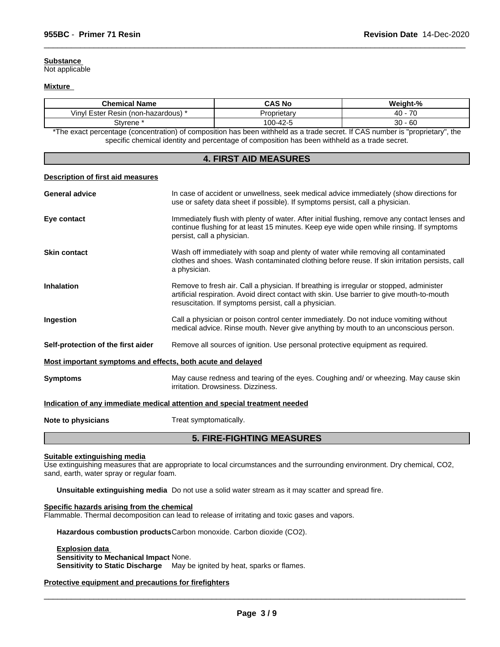# **Substance**

Not applicable

#### **Mixture**

| <b>Chemical Name</b>                                                                                                          | <b>CAS No</b> | Weight-%  |  |
|-------------------------------------------------------------------------------------------------------------------------------|---------------|-----------|--|
| Vinyl Ester Resin (non-hazardous) *                                                                                           | Proprietarv   | $40 - 70$ |  |
| Stvrene <sup>:</sup>                                                                                                          | 100-42-5      | $30 - 60$ |  |
| *The exact percentage (concentration) of composition has been withheld as a trade secret. If CAS number is "proprietary", the |               |           |  |

 $\overline{\phantom{a}}$  ,  $\overline{\phantom{a}}$  ,  $\overline{\phantom{a}}$  ,  $\overline{\phantom{a}}$  ,  $\overline{\phantom{a}}$  ,  $\overline{\phantom{a}}$  ,  $\overline{\phantom{a}}$  ,  $\overline{\phantom{a}}$  ,  $\overline{\phantom{a}}$  ,  $\overline{\phantom{a}}$  ,  $\overline{\phantom{a}}$  ,  $\overline{\phantom{a}}$  ,  $\overline{\phantom{a}}$  ,  $\overline{\phantom{a}}$  ,  $\overline{\phantom{a}}$  ,  $\overline{\phantom{a}}$ 

specific chemical identity and percentage of composition has been withheld as a trade secret.

# **4. FIRST AID MEASURES**

#### **Description of first aid measures**

| <b>General advice</b>                                                                                                                                                                                                      | In case of accident or unwellness, seek medical advice immediately (show directions for<br>use or safety data sheet if possible). If symptoms persist, call a physician.                                                                       |  |
|----------------------------------------------------------------------------------------------------------------------------------------------------------------------------------------------------------------------------|------------------------------------------------------------------------------------------------------------------------------------------------------------------------------------------------------------------------------------------------|--|
| Eye contact                                                                                                                                                                                                                | Immediately flush with plenty of water. After initial flushing, remove any contact lenses and<br>continue flushing for at least 15 minutes. Keep eye wide open while rinsing. If symptoms<br>persist, call a physician.                        |  |
| Wash off immediately with soap and plenty of water while removing all contaminated<br><b>Skin contact</b><br>clothes and shoes. Wash contaminated clothing before reuse. If skin irritation persists, call<br>a physician. |                                                                                                                                                                                                                                                |  |
| <b>Inhalation</b>                                                                                                                                                                                                          | Remove to fresh air. Call a physician. If breathing is irregular or stopped, administer<br>artificial respiration. Avoid direct contact with skin. Use barrier to give mouth-to-mouth<br>resuscitation. If symptoms persist, call a physician. |  |
| Call a physician or poison control center immediately. Do not induce vomiting without<br>Ingestion<br>medical advice. Rinse mouth. Never give anything by mouth to an unconscious person.                                  |                                                                                                                                                                                                                                                |  |
| Self-protection of the first aider                                                                                                                                                                                         | Remove all sources of ignition. Use personal protective equipment as required.                                                                                                                                                                 |  |
| Most important symptoms and effects, both acute and delayed                                                                                                                                                                |                                                                                                                                                                                                                                                |  |
| <b>Symptoms</b>                                                                                                                                                                                                            | May cause redness and tearing of the eyes. Coughing and/ or wheezing. May cause skin<br>irritation. Drowsiness. Dizziness.                                                                                                                     |  |
|                                                                                                                                                                                                                            | Indication of any immediate medical attention and special treatment needed                                                                                                                                                                     |  |
| Note to physicians                                                                                                                                                                                                         | Treat symptomatically.                                                                                                                                                                                                                         |  |

# **5. FIRE-FIGHTING MEASURES**

#### **Suitable extinguishing media**

Use extinguishing measures that are appropriate to local circumstances and the surrounding environment. Dry chemical, CO2, sand, earth, water spray or regular foam.

**Unsuitable extinguishing media** Do not use a solid water stream as it may scatter and spread fire.

# **Specific hazards arising from the chemical**

Flammable. Thermal decomposition can lead to release of irritating and toxic gases and vapors.

**Hazardous combustion products**Carbon monoxide. Carbon dioxide (CO2).

#### **Explosion data**

**Sensitivity to Mechanical Impact** None.

**Sensitivity to Static Discharge** May be ignited by heat, sparks or flames.

**Protective equipment and precautions for firefighters**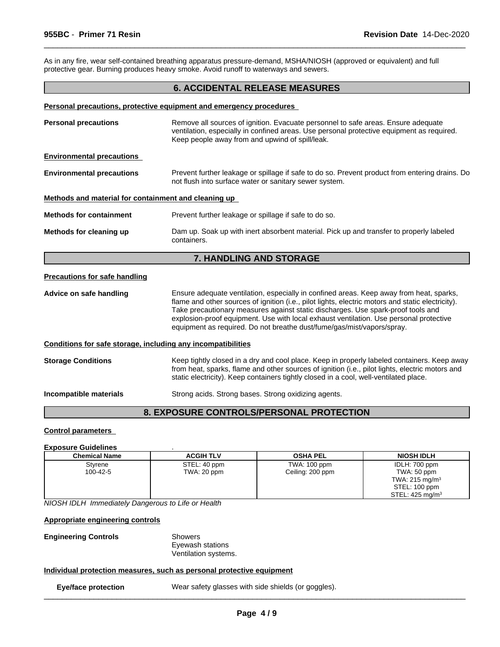As in any fire, wear self-contained breathing apparatus pressure-demand, MSHA/NIOSH (approved or equivalent) and full protective gear. Burning produces heavy smoke. Avoid runoff to waterways and sewers.

# **6. ACCIDENTAL RELEASE MEASURES**

 $\overline{\phantom{a}}$  ,  $\overline{\phantom{a}}$  ,  $\overline{\phantom{a}}$  ,  $\overline{\phantom{a}}$  ,  $\overline{\phantom{a}}$  ,  $\overline{\phantom{a}}$  ,  $\overline{\phantom{a}}$  ,  $\overline{\phantom{a}}$  ,  $\overline{\phantom{a}}$  ,  $\overline{\phantom{a}}$  ,  $\overline{\phantom{a}}$  ,  $\overline{\phantom{a}}$  ,  $\overline{\phantom{a}}$  ,  $\overline{\phantom{a}}$  ,  $\overline{\phantom{a}}$  ,  $\overline{\phantom{a}}$ 

#### **Personal precautions, protective equipment and emergency procedures**

| <b>Personal precautions</b>                                  | Remove all sources of ignition. Evacuate personnel to safe areas. Ensure adequate<br>ventilation, especially in confined areas. Use personal protective equipment as required.<br>Keep people away from and upwind of spill/leak.                                                                                                                                                                                                                    |
|--------------------------------------------------------------|------------------------------------------------------------------------------------------------------------------------------------------------------------------------------------------------------------------------------------------------------------------------------------------------------------------------------------------------------------------------------------------------------------------------------------------------------|
| <b>Environmental precautions</b>                             |                                                                                                                                                                                                                                                                                                                                                                                                                                                      |
| <b>Environmental precautions</b>                             | Prevent further leakage or spillage if safe to do so. Prevent product from entering drains. Do<br>not flush into surface water or sanitary sewer system.                                                                                                                                                                                                                                                                                             |
| Methods and material for containment and cleaning up         |                                                                                                                                                                                                                                                                                                                                                                                                                                                      |
| <b>Methods for containment</b>                               | Prevent further leakage or spillage if safe to do so.                                                                                                                                                                                                                                                                                                                                                                                                |
| Methods for cleaning up                                      | Dam up. Soak up with inert absorbent material. Pick up and transfer to properly labeled<br>containers.                                                                                                                                                                                                                                                                                                                                               |
|                                                              | 7. HANDLING AND STORAGE                                                                                                                                                                                                                                                                                                                                                                                                                              |
| <b>Precautions for safe handling</b>                         |                                                                                                                                                                                                                                                                                                                                                                                                                                                      |
| Advice on safe handling                                      | Ensure adequate ventilation, especially in confined areas. Keep away from heat, sparks,<br>flame and other sources of ignition (i.e., pilot lights, electric motors and static electricity).<br>Take precautionary measures against static discharges. Use spark-proof tools and<br>explosion-proof equipment. Use with local exhaust ventilation. Use personal protective<br>equipment as required. Do not breathe dust/fume/gas/mist/vapors/spray. |
| Conditions for safe storage, including any incompatibilities |                                                                                                                                                                                                                                                                                                                                                                                                                                                      |
| <b>Storage Conditions</b>                                    | Keep tightly closed in a dry and cool place. Keep in properly labeled containers. Keep away<br>from heat, sparks, flame and other sources of ignition (i.e., pilot lights, electric motors and<br>static electricity). Keep containers tightly closed in a cool, well-ventilated place.                                                                                                                                                              |
| Incompatible materials                                       | Strong acids. Strong bases. Strong oxidizing agents.                                                                                                                                                                                                                                                                                                                                                                                                 |
|                                                              |                                                                                                                                                                                                                                                                                                                                                                                                                                                      |

# **8. EXPOSURE CONTROLS/PERSONAL PROTECTION**

#### **Control parameters**

#### **Exposure Guidelines** .

| <b>Chemical Name</b> | <b>ACGIH TLV</b> | <b>OSHA PEL</b>  | <b>NIOSH IDLH</b>         |
|----------------------|------------------|------------------|---------------------------|
| Styrene              | STEL: 40 ppm     | TWA: 100 ppm     | IDLH: 700 ppm             |
| 100-42-5             | TWA: 20 ppm      | Ceiling: 200 ppm | TWA: 50 ppm               |
|                      |                  |                  | TWA: $215 \text{ mg/m}^3$ |
|                      |                  |                  | STEL: 100 ppm             |
|                      |                  |                  | STEL: 425 mg/m $3$        |

*NIOSH IDLH Immediately Dangerous to Life or Health*

**Appropriate engineering controls**

**Engineering Controls** Showers

Eyewash stations Ventilation systems.

# **Individual protection measures, such as personal protective equipment**

**Eye/face protection** Wear safety glasses with side shields (or goggles).  $\_$  ,  $\_$  ,  $\_$  ,  $\_$  ,  $\_$  ,  $\_$  ,  $\_$  ,  $\_$  ,  $\_$  ,  $\_$  ,  $\_$  ,  $\_$  ,  $\_$  ,  $\_$  ,  $\_$  ,  $\_$  ,  $\_$  ,  $\_$  ,  $\_$  ,  $\_$  ,  $\_$  ,  $\_$  ,  $\_$  ,  $\_$  ,  $\_$  ,  $\_$  ,  $\_$  ,  $\_$  ,  $\_$  ,  $\_$  ,  $\_$  ,  $\_$  ,  $\_$  ,  $\_$  ,  $\_$  ,  $\_$  ,  $\_$  ,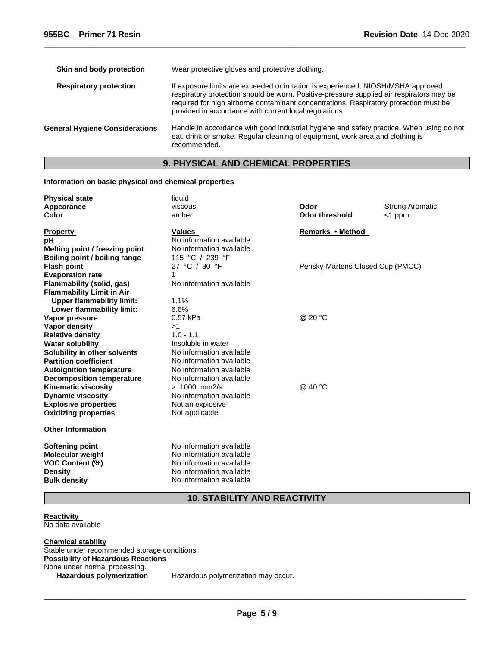| Skin and body protection              | Wear protective gloves and protective clothing.                                                                                                                                                                                                                                                                                  |
|---------------------------------------|----------------------------------------------------------------------------------------------------------------------------------------------------------------------------------------------------------------------------------------------------------------------------------------------------------------------------------|
| <b>Respiratory protection</b>         | If exposure limits are exceeded or irritation is experienced, NIOSH/MSHA approved<br>respiratory protection should be worn. Positive-pressure supplied air respirators may be<br>required for high airborne contaminant concentrations. Respiratory protection must be<br>provided in accordance with current local regulations. |
| <b>General Hygiene Considerations</b> | Handle in accordance with good industrial hygiene and safety practice. When using do not<br>eat, drink or smoke. Regular cleaning of equipment, work area and clothing is<br>recommended.                                                                                                                                        |
|                                       |                                                                                                                                                                                                                                                                                                                                  |

 $\overline{\phantom{a}}$  ,  $\overline{\phantom{a}}$  ,  $\overline{\phantom{a}}$  ,  $\overline{\phantom{a}}$  ,  $\overline{\phantom{a}}$  ,  $\overline{\phantom{a}}$  ,  $\overline{\phantom{a}}$  ,  $\overline{\phantom{a}}$  ,  $\overline{\phantom{a}}$  ,  $\overline{\phantom{a}}$  ,  $\overline{\phantom{a}}$  ,  $\overline{\phantom{a}}$  ,  $\overline{\phantom{a}}$  ,  $\overline{\phantom{a}}$  ,  $\overline{\phantom{a}}$  ,  $\overline{\phantom{a}}$ 

# **9. PHYSICAL AND CHEMICAL PROPERTIES**

# **Information on basic physical and chemical properties**

| <b>Physical state</b><br>Appearance<br><b>Color</b>                                    | liquid<br>viscous<br>amber                                                                                   | Odor<br><b>Odor threshold</b>    | <b>Strong Aromatic</b><br><1 ppm |  |  |
|----------------------------------------------------------------------------------------|--------------------------------------------------------------------------------------------------------------|----------------------------------|----------------------------------|--|--|
| <b>Property</b><br>рH                                                                  | <b>Values</b><br>No information available                                                                    | Remarks • Method                 |                                  |  |  |
|                                                                                        | No information available                                                                                     |                                  |                                  |  |  |
| Melting point / freezing point                                                         | 115 °C / 239 °F                                                                                              |                                  |                                  |  |  |
| Boiling point / boiling range<br><b>Flash point</b>                                    | 27 °C / 80 °F                                                                                                | Pensky-Martens Closed Cup (PMCC) |                                  |  |  |
| <b>Evaporation rate</b>                                                                | 1                                                                                                            |                                  |                                  |  |  |
| Flammability (solid, gas)                                                              | No information available                                                                                     |                                  |                                  |  |  |
| <b>Flammability Limit in Air</b>                                                       |                                                                                                              |                                  |                                  |  |  |
| <b>Upper flammability limit:</b>                                                       | 1.1%                                                                                                         |                                  |                                  |  |  |
| Lower flammability limit:                                                              | 6.6%                                                                                                         |                                  |                                  |  |  |
| Vapor pressure                                                                         | 0.57 kPa                                                                                                     | @ 20 °C                          |                                  |  |  |
| <b>Vapor density</b>                                                                   | >1                                                                                                           |                                  |                                  |  |  |
| <b>Relative density</b>                                                                | $1.0 - 1.1$                                                                                                  |                                  |                                  |  |  |
| <b>Water solubility</b>                                                                | Insoluble in water                                                                                           |                                  |                                  |  |  |
| Solubility in other solvents                                                           | No information available                                                                                     |                                  |                                  |  |  |
| <b>Partition coefficient</b>                                                           | No information available                                                                                     |                                  |                                  |  |  |
| <b>Autoignition temperature</b>                                                        | No information available                                                                                     |                                  |                                  |  |  |
| <b>Decomposition temperature</b>                                                       | No information available                                                                                     |                                  |                                  |  |  |
| <b>Kinematic viscosity</b>                                                             | $> 1000$ mm2/s                                                                                               | @ 40 °C                          |                                  |  |  |
| <b>Dynamic viscosity</b>                                                               | No information available                                                                                     |                                  |                                  |  |  |
| <b>Explosive properties</b>                                                            | Not an explosive                                                                                             |                                  |                                  |  |  |
| <b>Oxidizing properties</b>                                                            | Not applicable                                                                                               |                                  |                                  |  |  |
| <b>Other Information</b>                                                               |                                                                                                              |                                  |                                  |  |  |
| <b>Softening point</b><br>Molecular weight<br><b>VOC Content (%)</b><br><b>Density</b> | No information available<br>No information available<br>No information available<br>No information available |                                  |                                  |  |  |
| <b>Bulk density</b>                                                                    | No information available                                                                                     |                                  |                                  |  |  |

**10. STABILITY AND REACTIVITY**

#### **Reactivity**  No data available

**Chemical stability** Stable under recommended storage conditions. **Possibility of Hazardous Reactions** None under normal processing. **Hazardous polymerization** Hazardous polymerization may occur.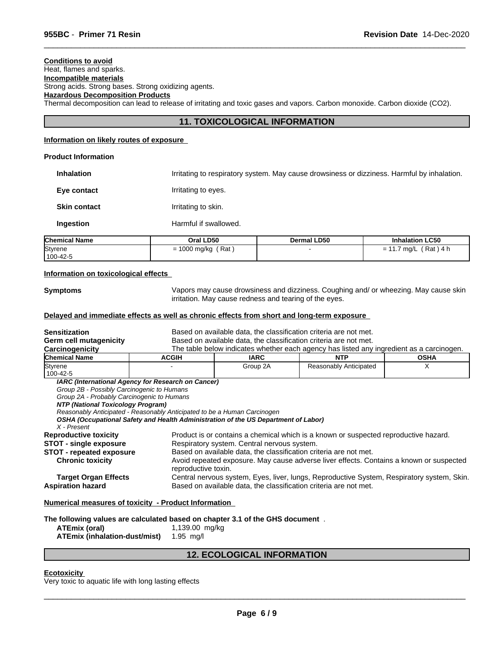# **Conditions to avoid**

Heat, flames and sparks.

**Incompatible materials**

#### Strong acids. Strong bases. Strong oxidizing agents. **Hazardous Decomposition Products**

Thermal decomposition can lead to release of irritating and toxic gases and vapors. Carbon monoxide. Carbon dioxide (CO2).

# **11. TOXICOLOGICAL INFORMATION**

 $\overline{\phantom{a}}$  ,  $\overline{\phantom{a}}$  ,  $\overline{\phantom{a}}$  ,  $\overline{\phantom{a}}$  ,  $\overline{\phantom{a}}$  ,  $\overline{\phantom{a}}$  ,  $\overline{\phantom{a}}$  ,  $\overline{\phantom{a}}$  ,  $\overline{\phantom{a}}$  ,  $\overline{\phantom{a}}$  ,  $\overline{\phantom{a}}$  ,  $\overline{\phantom{a}}$  ,  $\overline{\phantom{a}}$  ,  $\overline{\phantom{a}}$  ,  $\overline{\phantom{a}}$  ,  $\overline{\phantom{a}}$ 

# **Information on likely routes of exposure**

#### **Product Information**

**Inhalation** Irritating to respiratory system. May cause drowsiness or dizziness. Harmful by inhalation. **Eye contact I**rritating to eyes. **Skin contact I**rritating to skin. **Ingestion Harmful if swallowed.** 

| <b>Chemical Name</b> | Oral LD50                             | <b>Dermal LD50</b> | <b>Inhalation LC50</b>     |
|----------------------|---------------------------------------|--------------------|----------------------------|
| Styrene<br>100-42-5  | Rat<br>$\sim$<br>1000 mg/kg<br>-<br>- |                    | Rat,<br>\ 4 h<br>ma/L<br>- |

#### **Information on toxicological effects**

**Symptoms** Vapors may cause drowsiness and dizziness. Coughing and/ or wheezing. May cause skin irritation. May cause redness and tearing of the eyes.

# **Delayed and immediate effects as well as chronic effects from short and long-term exposure**

| <b>Sensitization</b>                       | Based on available data, the classification criteria are not met.                  |                                                                   |                                                                                          |             |
|--------------------------------------------|------------------------------------------------------------------------------------|-------------------------------------------------------------------|------------------------------------------------------------------------------------------|-------------|
| Germ cell mutagenicity                     |                                                                                    | Based on available data, the classification criteria are not met. |                                                                                          |             |
| Carcinogenicity                            |                                                                                    |                                                                   | The table below indicates whether each agency has listed any ingredient as a carcinogen. |             |
| <b>Chemical Name</b>                       | <b>ACGIH</b>                                                                       | <b>IARC</b>                                                       | <b>NTP</b>                                                                               | <b>OSHA</b> |
| <b>Styrene</b>                             |                                                                                    | Group 2A                                                          | Reasonably Anticipated                                                                   |             |
| 100-42-5                                   |                                                                                    |                                                                   |                                                                                          |             |
|                                            | IARC (International Agency for Research on Cancer)                                 |                                                                   |                                                                                          |             |
| Group 2B - Possibly Carcinogenic to Humans |                                                                                    |                                                                   |                                                                                          |             |
| Group 2A - Probably Carcinogenic to Humans |                                                                                    |                                                                   |                                                                                          |             |
| NTP (National Toxicology Program)          |                                                                                    |                                                                   |                                                                                          |             |
|                                            | Reasonably Anticipated - Reasonably Anticipated to be a Human Carcinogen           |                                                                   |                                                                                          |             |
|                                            | OSHA (Occupational Safety and Health Administration of the US Department of Labor) |                                                                   |                                                                                          |             |
| X - Present                                |                                                                                    |                                                                   |                                                                                          |             |
| <b>Reproductive toxicity</b>               |                                                                                    |                                                                   | Product is or contains a chemical which is a known or suspected reproductive hazard.     |             |
|                                            |                                                                                    | Dessinates: sustant Cantral namisus sustant                       |                                                                                          |             |

**STOT - single exposure** Respiratory system. Central nervous system.

**STOT - repeated exposure** Based on available data, the classification criteria are not met.

**Chronic toxicity** Avoid repeated exposure. May cause adverse liver effects. Contains a known or suspected reproductive toxin.

**Target Organ Effects** Central nervous system, Eyes, liver, lungs, Reproductive System, Respiratory system, Skin. **Aspiration hazard** Based on available data, the classification criteria are not met.

#### **Numerical measures of toxicity - Product Information**

#### **The following values are calculated based on chapter 3.1 of the GHS document** .

**ATEmix (oral)** 1,139.00 mg/kg **ATEmix (inhalation-dust/mist)** 1.95 mg/l

# **12. ECOLOGICAL INFORMATION**

#### **Ecotoxicity**

Very toxic to aquatic life with long lasting effects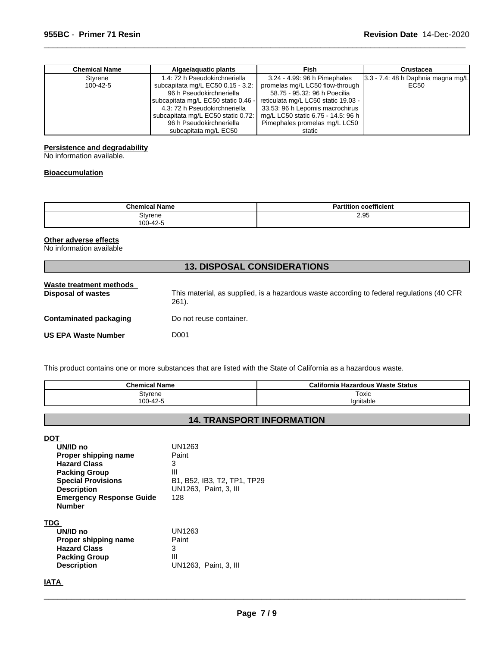| <b>Chemical Name</b> | Algae/aguatic plants                | Fish                                | <b>Crustacea</b>                      |
|----------------------|-------------------------------------|-------------------------------------|---------------------------------------|
| Styrene              | 1.4: 72 h Pseudokirchneriella       | 3.24 - 4.99: 96 h Pimephales        | $3.3 - 7.4$ : 48 h Daphnia magna mg/L |
| 100-42-5             | subcapitata mg/L EC50 0.15 - 3.2:   | promelas mg/L LC50 flow-through     | EC50                                  |
|                      | 96 h Pseudokirchneriella            | 58.75 - 95.32: 96 h Poecilia        |                                       |
|                      | subcapitata mg/L EC50 static 0.46 - | reticulata mg/L LC50 static 19.03 - |                                       |
|                      | 4.3: 72 h Pseudokirchneriella       | 33.53: 96 h Lepomis macrochirus     |                                       |
|                      | subcapitata mg/L EC50 static 0.72:  | mg/L LC50 static 6.75 - 14.5: 96 h  |                                       |
|                      | 96 h Pseudokirchneriella            | Pimephales promelas mg/L LC50       |                                       |
|                      | subcapitata mg/L EC50               | static                              |                                       |

 $\overline{\phantom{a}}$  ,  $\overline{\phantom{a}}$  ,  $\overline{\phantom{a}}$  ,  $\overline{\phantom{a}}$  ,  $\overline{\phantom{a}}$  ,  $\overline{\phantom{a}}$  ,  $\overline{\phantom{a}}$  ,  $\overline{\phantom{a}}$  ,  $\overline{\phantom{a}}$  ,  $\overline{\phantom{a}}$  ,  $\overline{\phantom{a}}$  ,  $\overline{\phantom{a}}$  ,  $\overline{\phantom{a}}$  ,  $\overline{\phantom{a}}$  ,  $\overline{\phantom{a}}$  ,  $\overline{\phantom{a}}$ 

# **Persistence and degradability**

No information available.

# **Bioaccumulation**

| Chemical.           | coefficient |
|---------------------|-------------|
| ' Name              | $  -$       |
| Styrene<br>100-42-5 | 2.95        |

# **Other adverse effects**

No information available

|                                                      | <b>13. DISPOSAL CONSIDERATIONS</b>                                                                 |
|------------------------------------------------------|----------------------------------------------------------------------------------------------------|
| Waste treatment methods<br><b>Disposal of wastes</b> | This material, as supplied, is a hazardous waste according to federal regulations (40 CFR<br>261). |
| <b>Contaminated packaging</b>                        | Do not reuse container.                                                                            |
| <b>US EPA Waste Number</b>                           | D001                                                                                               |

This product contains one or more substances that are listed with the State of California as a hazardous waste.

| <b>Chemical Name</b> | California<br>a Hazardous Waste Status |
|----------------------|----------------------------------------|
| Stvrene              | Toxic                                  |
| −42-⊽ر<br>100<br>UU. | Ignitable                              |

# **14. TRANSPORT INFORMATION**

**DOT** 

| UN/ID no                        | UN1263                      |
|---------------------------------|-----------------------------|
| Proper shipping name            | Paint                       |
| <b>Hazard Class</b>             | 3                           |
| <b>Packing Group</b>            | Ш                           |
| <b>Special Provisions</b>       | B1, B52, IB3, T2, TP1, TP29 |
| <b>Description</b>              | UN1263. Paint. 3. III       |
| <b>Emergency Response Guide</b> | 128                         |
| <b>Number</b>                   |                             |
| <b>TDG</b>                      |                             |
| UN/ID no                        | UN1263                      |
| Proper shipping name            | Paint                       |
| <b>Hazard Class</b>             | 3                           |
| <b>Packing Group</b>            | Ш                           |
| <b>Description</b>              | UN1263, Paint, 3, III       |
|                                 |                             |

**IATA**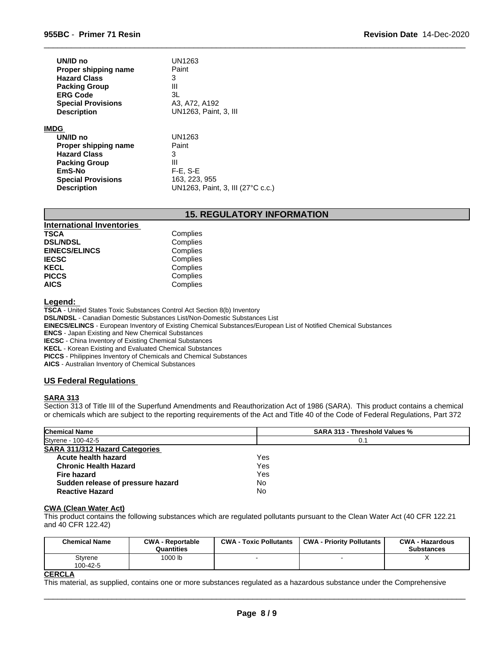| UN/ID no                                    | UN1263<br>Paint                   |
|---------------------------------------------|-----------------------------------|
| Proper shipping name<br><b>Hazard Class</b> | 3                                 |
| <b>Packing Group</b>                        | Ш                                 |
| <b>ERG Code</b>                             | 3L                                |
| <b>Special Provisions</b>                   | A3, A72, A192                     |
| <b>Description</b>                          | UN1263, Paint, 3, III             |
| <b>IMDG</b>                                 |                                   |
| UN/ID no                                    | UN1263                            |
| Proper shipping name                        | Paint                             |
| <b>Hazard Class</b>                         | 3                                 |
| <b>Packing Group</b>                        | Ш                                 |
| EmS-No                                      | $F-E$ , S-E                       |
| <b>Special Provisions</b>                   | 163, 223, 955                     |
| <b>Description</b>                          | UN1263, Paint, 3, III (27°C c.c.) |

# **15. REGULATORY INFORMATION**

 $\overline{\phantom{a}}$  ,  $\overline{\phantom{a}}$  ,  $\overline{\phantom{a}}$  ,  $\overline{\phantom{a}}$  ,  $\overline{\phantom{a}}$  ,  $\overline{\phantom{a}}$  ,  $\overline{\phantom{a}}$  ,  $\overline{\phantom{a}}$  ,  $\overline{\phantom{a}}$  ,  $\overline{\phantom{a}}$  ,  $\overline{\phantom{a}}$  ,  $\overline{\phantom{a}}$  ,  $\overline{\phantom{a}}$  ,  $\overline{\phantom{a}}$  ,  $\overline{\phantom{a}}$  ,  $\overline{\phantom{a}}$ 

| <b>International Inventories</b> |          |  |
|----------------------------------|----------|--|
| <b>TSCA</b>                      | Complies |  |
| <b>DSL/NDSL</b>                  | Complies |  |
| <b>EINECS/ELINCS</b>             | Complies |  |
| <b>IECSC</b>                     | Complies |  |
| <b>KECL</b>                      | Complies |  |
| <b>PICCS</b>                     | Complies |  |
| <b>AICS</b>                      | Complies |  |
|                                  |          |  |

#### **Legend:**

**TSCA** - United States Toxic Substances Control Act Section 8(b) Inventory **DSL/NDSL** - Canadian Domestic Substances List/Non-Domestic Substances List

**EINECS/ELINCS** - European Inventory of Existing Chemical Substances/European List of Notified Chemical Substances

**ENCS** - Japan Existing and New Chemical Substances

**IECSC** - China Inventory of Existing Chemical Substances

**KECL** - Korean Existing and Evaluated Chemical Substances

**PICCS** - Philippines Inventory of Chemicals and Chemical Substances

**AICS** - Australian Inventory of Chemical Substances

# **US Federal Regulations**

#### **SARA 313**

Section 313 of Title III of the Superfund Amendments and Reauthorization Act of 1986 (SARA). This product contains a chemical or chemicals which are subject to the reporting requirements of the Act and Title 40 of the Code of Federal Regulations, Part 372

| <b>Chemical Name</b>                  | <b>SARA 313 - Threshold Values %</b> |
|---------------------------------------|--------------------------------------|
| Styrene - 100-42-5                    | 0.1                                  |
| <b>SARA 311/312 Hazard Categories</b> |                                      |
| Acute health hazard                   | Yes                                  |
| <b>Chronic Health Hazard</b>          | Yes                                  |
| Fire hazard                           | Yes                                  |
| Sudden release of pressure hazard     | No                                   |
| <b>Reactive Hazard</b>                | No                                   |

#### **CWA (Clean Water Act)**

This product contains the following substances which are regulated pollutants pursuant to the Clean Water Act (40 CFR 122.21 and 40 CFR 122.42)

| <b>Chemical Name</b> | <b>CWA - Reportable</b><br>Quantities | <b>CWA - Toxic Pollutants</b> | <b>CWA - Priority Pollutants</b> | <b>CWA - Hazardous</b><br><b>Substances</b> |
|----------------------|---------------------------------------|-------------------------------|----------------------------------|---------------------------------------------|
| Styrene<br>100-42-5  | 1000 lb                               |                               |                                  |                                             |

# **CERCLA**

This material, as supplied, contains one or more substances regulated as a hazardous substance under the Comprehensive